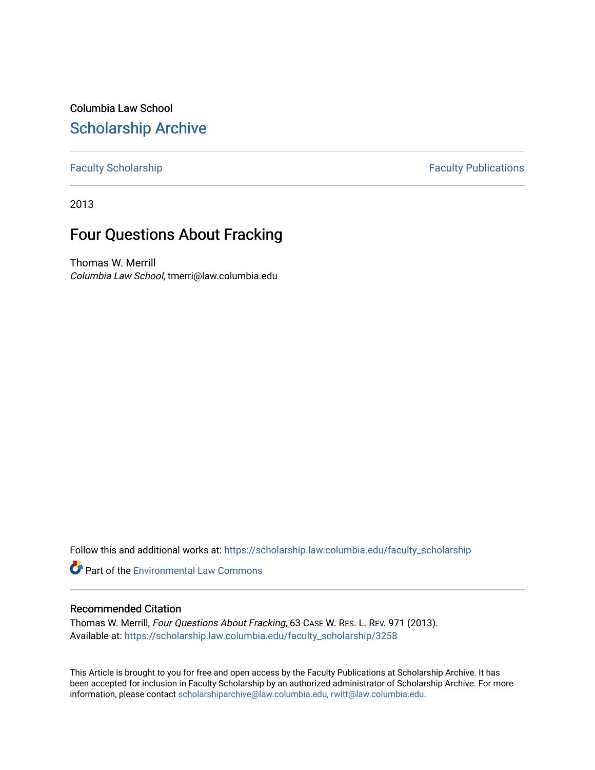Columbia Law School [Scholarship Archive](https://scholarship.law.columbia.edu/) 

[Faculty Scholarship](https://scholarship.law.columbia.edu/faculty_scholarship) **Faculty Publications** 

2013

## Four Questions About Fracking

Thomas W. Merrill Columbia Law School, tmerri@law.columbia.edu

Follow this and additional works at: [https://scholarship.law.columbia.edu/faculty\\_scholarship](https://scholarship.law.columbia.edu/faculty_scholarship?utm_source=scholarship.law.columbia.edu%2Ffaculty_scholarship%2F3258&utm_medium=PDF&utm_campaign=PDFCoverPages)

**Part of the [Environmental Law Commons](http://network.bepress.com/hgg/discipline/599?utm_source=scholarship.law.columbia.edu%2Ffaculty_scholarship%2F3258&utm_medium=PDF&utm_campaign=PDFCoverPages)** 

## Recommended Citation

Thomas W. Merrill, Four Questions About Fracking, 63 CASE W. RES. L. REV. 971 (2013). Available at: [https://scholarship.law.columbia.edu/faculty\\_scholarship/3258](https://scholarship.law.columbia.edu/faculty_scholarship/3258?utm_source=scholarship.law.columbia.edu%2Ffaculty_scholarship%2F3258&utm_medium=PDF&utm_campaign=PDFCoverPages)

This Article is brought to you for free and open access by the Faculty Publications at Scholarship Archive. It has been accepted for inclusion in Faculty Scholarship by an authorized administrator of Scholarship Archive. For more information, please contact [scholarshiparchive@law.columbia.edu, rwitt@law.columbia.edu](mailto:scholarshiparchive@law.columbia.edu,%20rwitt@law.columbia.edu).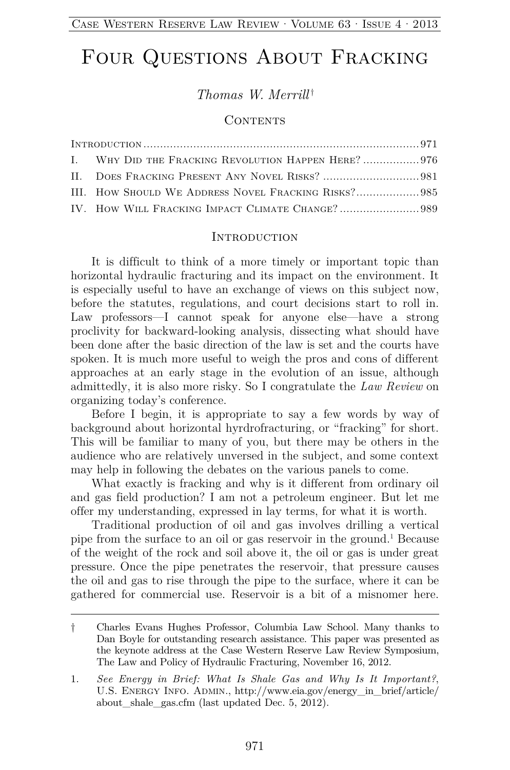# FOUR QUESTIONS ABOUT FRACKING

*Thomas W. Merrill* †

### CONTENTS

|  | I. WHY DID THE FRACKING REVOLUTION HAPPEN HERE? 976 |  |
|--|-----------------------------------------------------|--|
|  |                                                     |  |
|  | III. HOW SHOULD WE ADDRESS NOVEL FRACKING RISKS?985 |  |
|  |                                                     |  |

#### **INTRODUCTION**

It is difficult to think of a more timely or important topic than horizontal hydraulic fracturing and its impact on the environment. It is especially useful to have an exchange of views on this subject now, before the statutes, regulations, and court decisions start to roll in. Law professors—I cannot speak for anyone else—have a strong proclivity for backward-looking analysis, dissecting what should have been done after the basic direction of the law is set and the courts have spoken. It is much more useful to weigh the pros and cons of different approaches at an early stage in the evolution of an issue, although admittedly, it is also more risky. So I congratulate the *Law Review* on organizing today's conference.

Before I begin, it is appropriate to say a few words by way of background about horizontal hyrdrofracturing, or "fracking" for short. This will be familiar to many of you, but there may be others in the audience who are relatively unversed in the subject, and some context may help in following the debates on the various panels to come.

What exactly is fracking and why is it different from ordinary oil and gas field production? I am not a petroleum engineer. But let me offer my understanding, expressed in lay terms, for what it is worth.

Traditional production of oil and gas involves drilling a vertical pipe from the surface to an oil or gas reservoir in the ground.<sup>1</sup> Because of the weight of the rock and soil above it, the oil or gas is under great pressure. Once the pipe penetrates the reservoir, that pressure causes the oil and gas to rise through the pipe to the surface, where it can be gathered for commercial use. Reservoir is a bit of a misnomer here.

<sup>†</sup> Charles Evans Hughes Professor, Columbia Law School. Many thanks to Dan Boyle for outstanding research assistance. This paper was presented as the keynote address at the Case Western Reserve Law Review Symposium, The Law and Policy of Hydraulic Fracturing, November 16, 2012.

<sup>1.</sup> *See Energy in Brief: What Is Shale Gas and Why Is It Important?*, U.S. Energy Info. Admin., http://www.eia.gov/energy\_in\_brief/article/ about shale gas.cfm (last updated Dec. 5, 2012).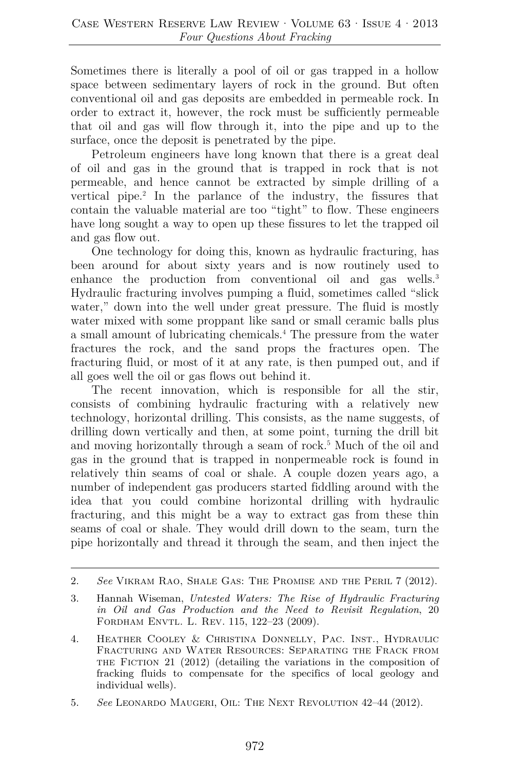Sometimes there is literally a pool of oil or gas trapped in a hollow space between sedimentary layers of rock in the ground. But often conventional oil and gas deposits are embedded in permeable rock. In order to extract it, however, the rock must be sufficiently permeable that oil and gas will flow through it, into the pipe and up to the surface, once the deposit is penetrated by the pipe.

Petroleum engineers have long known that there is a great deal of oil and gas in the ground that is trapped in rock that is not permeable, and hence cannot be extracted by simple drilling of a vertical pipe.<sup>2</sup> In the parlance of the industry, the fissures that contain the valuable material are too "tight" to flow. These engineers have long sought a way to open up these fissures to let the trapped oil and gas flow out.

One technology for doing this, known as hydraulic fracturing, has been around for about sixty years and is now routinely used to enhance the production from conventional oil and gas wells.<sup>3</sup> Hydraulic fracturing involves pumping a fluid, sometimes called "slick water," down into the well under great pressure. The fluid is mostly water mixed with some proppant like sand or small ceramic balls plus a small amount of lubricating chemicals.4 The pressure from the water fractures the rock, and the sand props the fractures open. The fracturing fluid, or most of it at any rate, is then pumped out, and if all goes well the oil or gas flows out behind it.

The recent innovation, which is responsible for all the stir, consists of combining hydraulic fracturing with a relatively new technology, horizontal drilling. This consists, as the name suggests, of drilling down vertically and then, at some point, turning the drill bit and moving horizontally through a seam of rock.<sup>5</sup> Much of the oil and gas in the ground that is trapped in nonpermeable rock is found in relatively thin seams of coal or shale. A couple dozen years ago, a number of independent gas producers started fiddling around with the idea that you could combine horizontal drilling with hydraulic fracturing, and this might be a way to extract gas from these thin seams of coal or shale. They would drill down to the seam, turn the pipe horizontally and thread it through the seam, and then inject the

<sup>2.</sup> *See* Vikram Rao, Shale Gas: The Promise and the Peril 7 (2012).

<sup>3.</sup> Hannah Wiseman, *Untested Waters: The Rise of Hydraulic Fracturing in Oil and Gas Production and the Need to Revisit Regulation*, 20 FORDHAM ENVTL. L. REV. 115, 122-23 (2009).

<sup>4.</sup> Heather Cooley & Christina Donnelly, Pac. Inst., Hydraulic Fracturing and Water Resources: Separating the Frack from THE FICTION  $21$  (2012) (detailing the variations in the composition of fracking fluids to compensate for the specifics of local geology and individual wells).

<sup>5.</sup> *See* Leonardo Maugeri, Oil: The Next Revolution 42–44 (2012).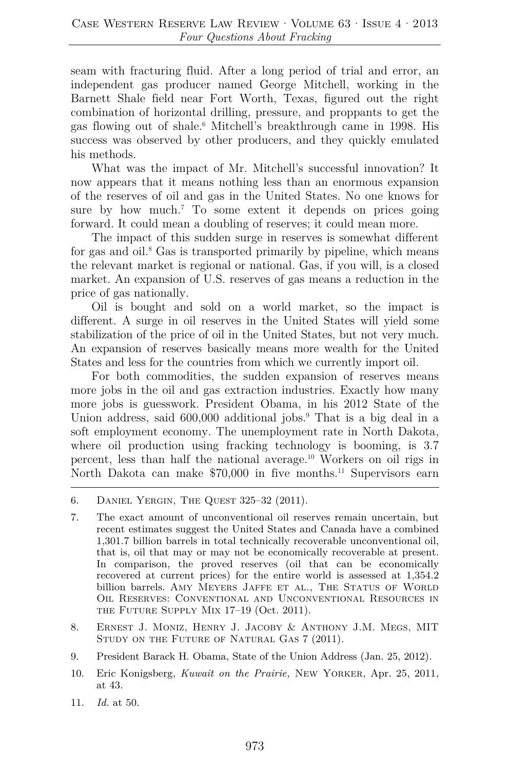seam with fracturing fluid. After a long period of trial and error, an independent gas producer named George Mitchell, working in the Barnett Shale field near Fort Worth, Texas, figured out the right combination of horizontal drilling, pressure, and proppants to get the gas flowing out of shale.6 Mitchell's breakthrough came in 1998. His success was observed by other producers, and they quickly emulated his methods.

What was the impact of Mr. Mitchell's successful innovation? It now appears that it means nothing less than an enormous expansion of the reserves of oil and gas in the United States. No one knows for sure by how much.<sup>7</sup> To some extent it depends on prices going forward. It could mean a doubling of reserves; it could mean more.

The impact of this sudden surge in reserves is somewhat different for gas and oil.<sup>8</sup> Gas is transported primarily by pipeline, which means the relevant market is regional or national. Gas, if you will, is a closed market. An expansion of U.S. reserves of gas means a reduction in the price of gas nationally.

Oil is bought and sold on a world market, so the impact is different. A surge in oil reserves in the United States will yield some stabilization of the price of oil in the United States, but not very much. An expansion of reserves basically means more wealth for the United States and less for the countries from which we currently import oil.

For both commodities, the sudden expansion of reserves means more jobs in the oil and gas extraction industries. Exactly how many more jobs is guesswork. President Obama, in his 2012 State of the Union address, said 600,000 additional jobs.<sup>9</sup> That is a big deal in a soft employment economy. The unemployment rate in North Dakota, where oil production using fracking technology is booming, is 3.7 percent, less than half the national average.10 Workers on oil rigs in North Dakota can make \$70,000 in five months.<sup>11</sup> Supervisors earn

- 8. Ernest J. Moniz, Henry J. Jacoby & Anthony J.M. Megs, MIT STUDY ON THE FUTURE OF NATURAL GAS 7 (2011).
- 9. President Barack H. Obama, State of the Union Address (Jan. 25, 2012).
- 10. Eric Konigsberg, *Kuwait on the Prairie,* New Yorker, Apr. 25, 2011, at 43.
- 11. *Id.* at 50.

<sup>6.</sup> Daniel Yergin, The Quest 325–32 (2011).

<sup>7.</sup> The exact amount of unconventional oil reserves remain uncertain, but recent estimates suggest the United States and Canada have a combined 1,301.7 billion barrels in total technically recoverable unconventional oil, that is, oil that may or may not be economically recoverable at present. In comparison, the proved reserves (oil that can be economically recovered at current prices) for the entire world is assessed at 1,354.2 billion barrels. AMY MEYERS JAFFE ET AL., THE STATUS OF WORLD Oil Reserves: Conventional and Unconventional Resources in THE FUTURE SUPPLY MIX 17-19 (Oct. 2011).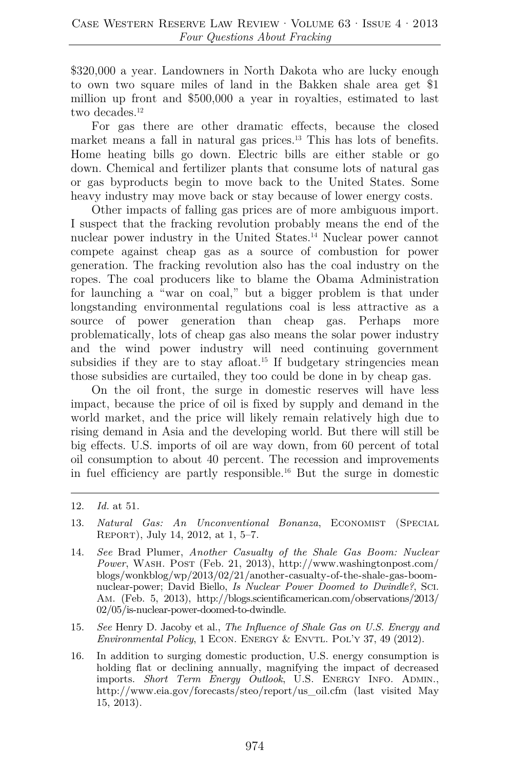\$320,000 a year. Landowners in North Dakota who are lucky enough to own two square miles of land in the Bakken shale area get \$1 million up front and \$500,000 a year in royalties, estimated to last two decades.<sup>12</sup>

For gas there are other dramatic effects, because the closed market means a fall in natural gas prices.<sup>13</sup> This has lots of benefits. Home heating bills go down. Electric bills are either stable or go down. Chemical and fertilizer plants that consume lots of natural gas or gas byproducts begin to move back to the United States. Some heavy industry may move back or stay because of lower energy costs.

Other impacts of falling gas prices are of more ambiguous import. I suspect that the fracking revolution probably means the end of the nuclear power industry in the United States.<sup>14</sup> Nuclear power cannot compete against cheap gas as a source of combustion for power generation. The fracking revolution also has the coal industry on the ropes. The coal producers like to blame the Obama Administration for launching a "war on coal," but a bigger problem is that under longstanding environmental regulations coal is less attractive as a source of power generation than cheap gas. Perhaps more problematically, lots of cheap gas also means the solar power industry and the wind power industry will need continuing government subsidies if they are to stay afloat.<sup>15</sup> If budgetary stringencies mean those subsidies are curtailed, they too could be done in by cheap gas.

On the oil front, the surge in domestic reserves will have less impact, because the price of oil is fixed by supply and demand in the world market, and the price will likely remain relatively high due to rising demand in Asia and the developing world. But there will still be big effects. U.S. imports of oil are way down, from 60 percent of total oil consumption to about 40 percent. The recession and improvements in fuel efficiency are partly responsible.16 But the surge in domestic

- 15. *See* Henry D. Jacoby et al., *The Influence of Shale Gas on U.S. Energy and Environmental Policy*, 1 ECON. ENERGY & ENVTL. POL'Y 37, 49 (2012).
- 16. In addition to surging domestic production, U.S. energy consumption is holding flat or declining annually, magnifying the impact of decreased imports. *Short Term Energy Outlook*, U.S. Energy Info. Admin., http://www.eia.gov/forecasts/steo/report/us\_oil.cfm (last visited May 15, 2013).

<sup>12.</sup> *Id.* at 51.

<sup>13.</sup> *Natural Gas: An Unconventional Bonanza*, Economist (Special Report), July 14, 2012, at 1, 5–7.

<sup>14.</sup> *See* Brad Plumer, *Another Casualty of the Shale Gas Boom: Nuclear*  Power, WASH. POST (Feb. 21, 2013), http://www.washingtonpost.com/ blogs/wonkblog/wp/2013/02/21/another-casualty-of-the-shale-gas-boomnuclear-power; David Biello, *Is Nuclear Power Doomed to Dwindle?*, Sci. Am. (Feb. 5, 2013), http://blogs.scientificamerican.com/observations/2013/ 02/05/is-nuclear-power-doomed-to-dwindle.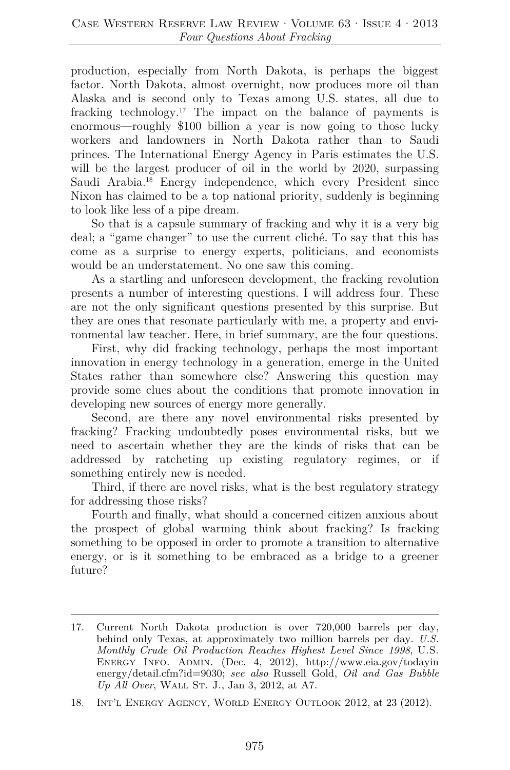production, especially from North Dakota, is perhaps the biggest factor. North Dakota, almost overnight, now produces more oil than Alaska and is second only to Texas among U.S. states, all due to fracking technology.17 The impact on the balance of payments is enormous—roughly \$100 billion a year is now going to those lucky workers and landowners in North Dakota rather than to Saudi princes. The International Energy Agency in Paris estimates the U.S. will be the largest producer of oil in the world by 2020, surpassing Saudi Arabia.18 Energy independence, which every President since Nixon has claimed to be a top national priority, suddenly is beginning to look like less of a pipe dream.

So that is a capsule summary of fracking and why it is a very big deal; a "game changer" to use the current cliché. To say that this has come as a surprise to energy experts, politicians, and economists would be an understatement. No one saw this coming.

As a startling and unforeseen development, the fracking revolution presents a number of interesting questions. I will address four. These are not the only significant questions presented by this surprise. But they are ones that resonate particularly with me, a property and environmental law teacher. Here, in brief summary, are the four questions.

First, why did fracking technology, perhaps the most important innovation in energy technology in a generation, emerge in the United States rather than somewhere else? Answering this question may provide some clues about the conditions that promote innovation in developing new sources of energy more generally.

Second, are there any novel environmental risks presented by fracking? Fracking undoubtedly poses environmental risks, but we need to ascertain whether they are the kinds of risks that can be addressed by ratcheting up existing regulatory regimes, or if something entirely new is needed.

Third, if there are novel risks, what is the best regulatory strategy for addressing those risks?

Fourth and finally, what should a concerned citizen anxious about the prospect of global warming think about fracking? Is fracking something to be opposed in order to promote a transition to alternative energy, or is it something to be embraced as a bridge to a greener future?

<sup>17.</sup> Current North Dakota production is over 720,000 barrels per day, behind only Texas, at approximately two million barrels per day. *U.S. Monthly Crude Oil Production Reaches Highest Level Since 1998*, U.S. Energy Info. Admin. (Dec. 4, 2012), http://www.eia.gov/todayin energy/detail.cfm?id=9030; *see also* Russell Gold, *Oil and Gas Bubble Up All Over*, WALL ST. J., Jan 3, 2012, at A7.

<sup>18.</sup> Int'l Energy Agency, World Energy Outlook 2012, at 23 (2012).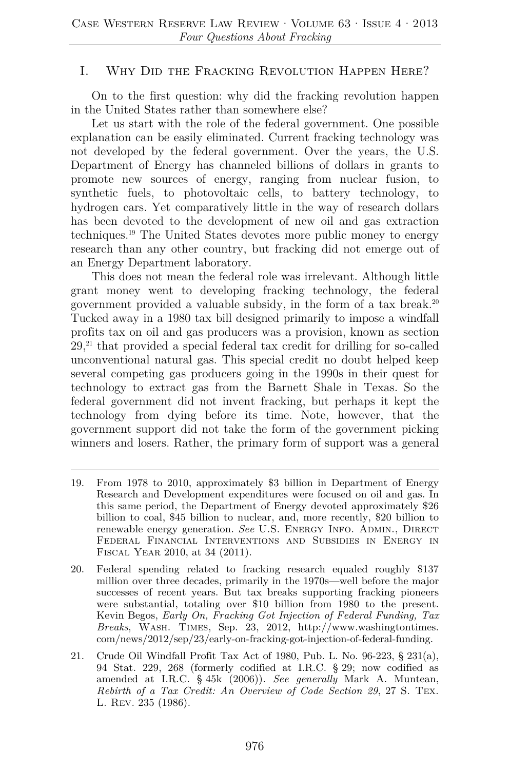## I. Why Did the Fracking Revolution Happen Here?

On to the first question: why did the fracking revolution happen in the United States rather than somewhere else?

Let us start with the role of the federal government. One possible explanation can be easily eliminated. Current fracking technology was not developed by the federal government. Over the years, the U.S. Department of Energy has channeled billions of dollars in grants to promote new sources of energy, ranging from nuclear fusion, to synthetic fuels, to photovoltaic cells, to battery technology, to hydrogen cars. Yet comparatively little in the way of research dollars has been devoted to the development of new oil and gas extraction techniques.19 The United States devotes more public money to energy research than any other country, but fracking did not emerge out of an Energy Department laboratory.

This does not mean the federal role was irrelevant. Although little grant money went to developing fracking technology, the federal government provided a valuable subsidy, in the form of a tax break.<sup>20</sup> Tucked away in a 1980 tax bill designed primarily to impose a windfall profits tax on oil and gas producers was a provision, known as section 29,21 that provided a special federal tax credit for drilling for so-called unconventional natural gas. This special credit no doubt helped keep several competing gas producers going in the 1990s in their quest for technology to extract gas from the Barnett Shale in Texas. So the federal government did not invent fracking, but perhaps it kept the technology from dying before its time. Note, however, that the government support did not take the form of the government picking winners and losers. Rather, the primary form of support was a general

- 20. Federal spending related to fracking research equaled roughly \$137 million over three decades, primarily in the 1970s—well before the major successes of recent years. But tax breaks supporting fracking pioneers were substantial, totaling over \$10 billion from 1980 to the present. Kevin Begos, *Early On, Fracking Got Injection of Federal Funding, Tax Breaks*, Wash. Times, Sep. 23, 2012, http://www.washingtontimes. com/news/2012/sep/23/early-on-fracking-got-injection-of-federal-funding.
- 21. Crude Oil Windfall Profit Tax Act of 1980, Pub. L. No. 96-223, § 231(a), 94 Stat. 229, 268 (formerly codified at I.R.C. § 29; now codified as amended at I.R.C. § 45k (2006)). *See generally* Mark A. Muntean, *Rebirth of a Tax Credit: An Overview of Code Section 29*, 27 S. Tex. L. Rev. 235 (1986).

<sup>19.</sup> From 1978 to 2010, approximately \$3 billion in Department of Energy Research and Development expenditures were focused on oil and gas. In this same period, the Department of Energy devoted approximately \$26 billion to coal, \$45 billion to nuclear, and, more recently, \$20 billion to renewable energy generation. *See* U.S. ENERGY INFO. ADMIN., DIRECT Federal Financial Interventions and Subsidies in Energy in Fiscal Year 2010, at 34 (2011).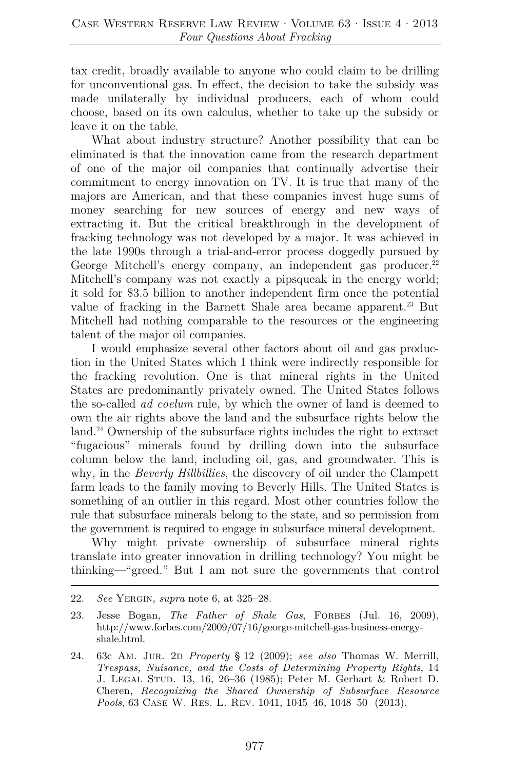tax credit, broadly available to anyone who could claim to be drilling for unconventional gas. In effect, the decision to take the subsidy was made unilaterally by individual producers, each of whom could choose, based on its own calculus, whether to take up the subsidy or leave it on the table.

What about industry structure? Another possibility that can be eliminated is that the innovation came from the research department of one of the major oil companies that continually advertise their commitment to energy innovation on TV. It is true that many of the majors are American, and that these companies invest huge sums of money searching for new sources of energy and new ways of extracting it. But the critical breakthrough in the development of fracking technology was not developed by a major. It was achieved in the late 1990s through a trial-and-error process doggedly pursued by George Mitchell's energy company, an independent gas producer.<sup>22</sup> Mitchell's company was not exactly a pipsqueak in the energy world; it sold for \$3.5 billion to another independent firm once the potential value of fracking in the Barnett Shale area became apparent.<sup>23</sup> But Mitchell had nothing comparable to the resources or the engineering talent of the major oil companies.

I would emphasize several other factors about oil and gas production in the United States which I think were indirectly responsible for the fracking revolution. One is that mineral rights in the United States are predominantly privately owned. The United States follows the so-called *ad coelum* rule, by which the owner of land is deemed to own the air rights above the land and the subsurface rights below the land.<sup>24</sup> Ownership of the subsurface rights includes the right to extract "fugacious" minerals found by drilling down into the subsurface column below the land, including oil, gas, and groundwater. This is why, in the *Beverly Hillbillies*, the discovery of oil under the Clampett farm leads to the family moving to Beverly Hills. The United States is something of an outlier in this regard. Most other countries follow the rule that subsurface minerals belong to the state, and so permission from the government is required to engage in subsurface mineral development.

Why might private ownership of subsurface mineral rights translate into greater innovation in drilling technology? You might be thinking—"greed." But I am not sure the governments that control

<sup>22.</sup> *See* Yergin, *supra* note 6, at 325–28.

<sup>23.</sup> Jesse Bogan, *The Father of Shale Gas*, FORBES (Jul. 16, 2009), http://www.forbes.com/2009/07/16/george-mitchell-gas-business-energyshale.html.

<sup>24. 63</sup>c Am. Jur. 2d *Property* § 12 (2009); *see also* Thomas W. Merrill, *Trespass, Nuisance, and the Costs of Determining Property Rights*, 14 J. Legal Stud. 13, 16, 26–36 (1985); Peter M. Gerhart & Robert D. Cheren, *Recognizing the Shared Ownership of Subsurface Resource Pools*, 63 Case W. Res. L. Rev. 1041, 1045–46, 1048–50 (2013).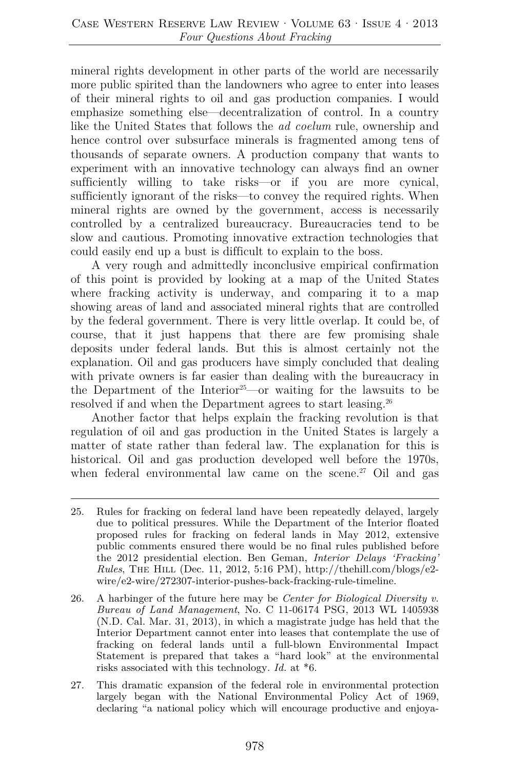mineral rights development in other parts of the world are necessarily more public spirited than the landowners who agree to enter into leases of their mineral rights to oil and gas production companies. I would emphasize something else—decentralization of control. In a country like the United States that follows the *ad coelum* rule, ownership and hence control over subsurface minerals is fragmented among tens of thousands of separate owners. A production company that wants to experiment with an innovative technology can always find an owner sufficiently willing to take risks—or if you are more cynical, sufficiently ignorant of the risks—to convey the required rights. When mineral rights are owned by the government, access is necessarily controlled by a centralized bureaucracy. Bureaucracies tend to be slow and cautious. Promoting innovative extraction technologies that could easily end up a bust is difficult to explain to the boss.

A very rough and admittedly inconclusive empirical confirmation of this point is provided by looking at a map of the United States where fracking activity is underway, and comparing it to a map showing areas of land and associated mineral rights that are controlled by the federal government. There is very little overlap. It could be, of course, that it just happens that there are few promising shale deposits under federal lands. But this is almost certainly not the explanation. Oil and gas producers have simply concluded that dealing with private owners is far easier than dealing with the bureaucracy in the Department of the Interior<sup>25</sup>—or waiting for the lawsuits to be resolved if and when the Department agrees to start leasing.<sup>26</sup>

Another factor that helps explain the fracking revolution is that regulation of oil and gas production in the United States is largely a matter of state rather than federal law. The explanation for this is historical. Oil and gas production developed well before the 1970s, when federal environmental law came on the scene.<sup>27</sup> Oil and gas

<sup>25.</sup> Rules for fracking on federal land have been repeatedly delayed, largely due to political pressures. While the Department of the Interior floated proposed rules for fracking on federal lands in May 2012, extensive public comments ensured there would be no final rules published before the 2012 presidential election. Ben Geman, *Interior Delays 'Fracking' Rules*, The Hill (Dec. 11, 2012, 5:16 PM), http://thehill.com/blogs/e2 wire/e2-wire/272307-interior-pushes-back-fracking-rule-timeline.

<sup>26.</sup> A harbinger of the future here may be *Center for Biological Diversity v. Bureau of Land Management*, No. C 11-06174 PSG, 2013 WL 1405938 (N.D. Cal. Mar. 31, 2013), in which a magistrate judge has held that the Interior Department cannot enter into leases that contemplate the use of fracking on federal lands until a full-blown Environmental Impact Statement is prepared that takes a "hard look" at the environmental risks associated with this technology. *Id.* at \*6.

<sup>27.</sup> This dramatic expansion of the federal role in environmental protection largely began with the National Environmental Policy Act of 1969, declaring "a national policy which will encourage productive and enjoya-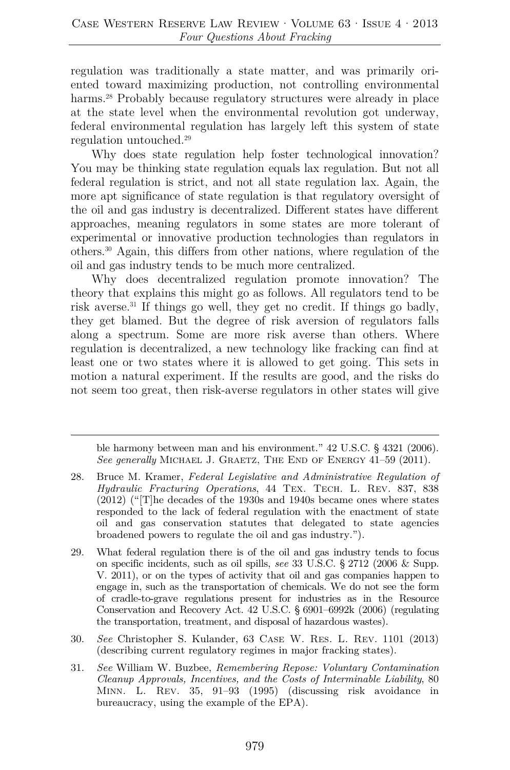regulation was traditionally a state matter, and was primarily oriented toward maximizing production, not controlling environmental harms.<sup>28</sup> Probably because regulatory structures were already in place at the state level when the environmental revolution got underway, federal environmental regulation has largely left this system of state regulation untouched.29

Why does state regulation help foster technological innovation? You may be thinking state regulation equals lax regulation. But not all federal regulation is strict, and not all state regulation lax. Again, the more apt significance of state regulation is that regulatory oversight of the oil and gas industry is decentralized. Different states have different approaches, meaning regulators in some states are more tolerant of experimental or innovative production technologies than regulators in others.30 Again, this differs from other nations, where regulation of the oil and gas industry tends to be much more centralized.

Why does decentralized regulation promote innovation? The theory that explains this might go as follows. All regulators tend to be risk averse.31 If things go well, they get no credit. If things go badly, they get blamed. But the degree of risk aversion of regulators falls along a spectrum. Some are more risk averse than others. Where regulation is decentralized, a new technology like fracking can find at least one or two states where it is allowed to get going. This sets in motion a natural experiment. If the results are good, and the risks do not seem too great, then risk-averse regulators in other states will give

ble harmony between man and his environment." 42 U.S.C. § 4321 (2006). *See generally* MICHAEL J. GRAETZ, THE END OF ENERGY 41-59 (2011).

- 30. *See* Christopher S. Kulander, 63 Case W. Res. L. Rev. 1101 (2013) (describing current regulatory regimes in major fracking states).
- 31. *See* William W. Buzbee, *Remembering Repose: Voluntary Contamination Cleanup Approvals, Incentives, and the Costs of Interminable Liability*, 80 Minn. L. Rev. 35, 91–93 (1995) (discussing risk avoidance in bureaucracy, using the example of the EPA).

<sup>28.</sup> Bruce M. Kramer, *Federal Legislative and Administrative Regulation of Hydraulic Fracturing Operations*, 44 Tex. Tech. L. Rev. 837, 838  $(2012)$  ("The decades of the 1930s and 1940s became ones where states responded to the lack of federal regulation with the enactment of state oil and gas conservation statutes that delegated to state agencies broadened powers to regulate the oil and gas industry.").

<sup>29.</sup> What federal regulation there is of the oil and gas industry tends to focus on specific incidents, such as oil spills, *see* 33 U.S.C. § 2712 (2006 & Supp. V. 2011), or on the types of activity that oil and gas companies happen to engage in, such as the transportation of chemicals. We do not see the form of cradle-to-grave regulations present for industries as in the Resource Conservation and Recovery Act. 42 U.S.C. § 6901–6992k (2006) (regulating the transportation, treatment, and disposal of hazardous wastes).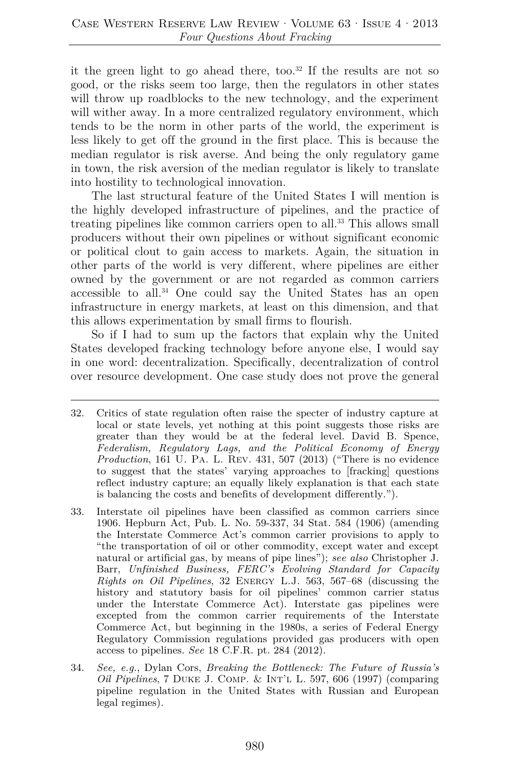it the green light to go ahead there, too.<sup>32</sup> If the results are not so good, or the risks seem too large, then the regulators in other states will throw up roadblocks to the new technology, and the experiment will wither away. In a more centralized regulatory environment, which tends to be the norm in other parts of the world, the experiment is less likely to get off the ground in the first place. This is because the median regulator is risk averse. And being the only regulatory game in town, the risk aversion of the median regulator is likely to translate into hostility to technological innovation.

The last structural feature of the United States I will mention is the highly developed infrastructure of pipelines, and the practice of treating pipelines like common carriers open to all.33 This allows small producers without their own pipelines or without significant economic or political clout to gain access to markets. Again, the situation in other parts of the world is very different, where pipelines are either owned by the government or are not regarded as common carriers accessible to all.34 One could say the United States has an open infrastructure in energy markets, at least on this dimension, and that this allows experimentation by small firms to flourish.

So if I had to sum up the factors that explain why the United States developed fracking technology before anyone else, I would say in one word: decentralization. Specifically, decentralization of control over resource development. One case study does not prove the general

- 32. Critics of state regulation often raise the specter of industry capture at local or state levels, yet nothing at this point suggests those risks are greater than they would be at the federal level. David B. Spence, *Federalism, Regulatory Lags, and the Political Economy of Energy Production*, 161 U. Pa. L. Rev. 431, 507 (2013) ("There is no evidence to suggest that the states' varying approaches to [fracking] questions reflect industry capture; an equally likely explanation is that each state is balancing the costs and benefits of development differently.").
- 33. Interstate oil pipelines have been classified as common carriers since 1906. Hepburn Act, Pub. L. No. 59-337, 34 Stat. 584 (1906) (amending the Interstate Commerce Act's common carrier provisions to apply to "the transportation of oil or other commodity, except water and except natural or artificial gas, by means of pipe lines"); *see also* Christopher J. Barr, *Unfinished Business, FERC's Evolving Standard for Capacity Rights on Oil Pipelines*, 32 Energy L.J. 563, 567–68 (discussing the history and statutory basis for oil pipelines' common carrier status under the Interstate Commerce Act). Interstate gas pipelines were excepted from the common carrier requirements of the Interstate Commerce Act, but beginning in the 1980s, a series of Federal Energy Regulatory Commission regulations provided gas producers with open access to pipelines. *See* 18 C.F.R. pt. 284 (2012).
- 34. *See, e.g.*, Dylan Cors, *Breaking the Bottleneck: The Future of Russia's Oil Pipelines*, 7 Duke J. Comp. & Int'l L. 597, 606 (1997) (comparing pipeline regulation in the United States with Russian and European legal regimes).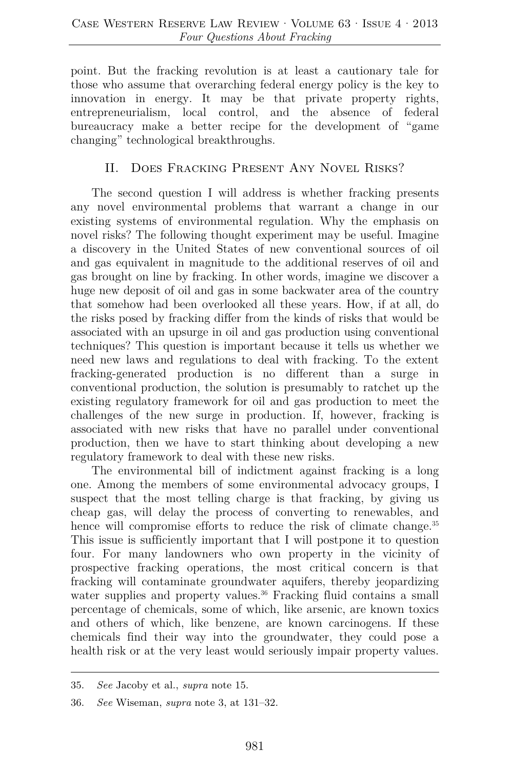point. But the fracking revolution is at least a cautionary tale for those who assume that overarching federal energy policy is the key to innovation in energy. It may be that private property rights, entrepreneurialism, local control, and the absence of federal bureaucracy make a better recipe for the development of "game changing" technological breakthroughs.

## II. Does Fracking Present Any Novel Risks?

The second question I will address is whether fracking presents any novel environmental problems that warrant a change in our existing systems of environmental regulation. Why the emphasis on novel risks? The following thought experiment may be useful. Imagine a discovery in the United States of new conventional sources of oil and gas equivalent in magnitude to the additional reserves of oil and gas brought on line by fracking. In other words, imagine we discover a huge new deposit of oil and gas in some backwater area of the country that somehow had been overlooked all these years. How, if at all, do the risks posed by fracking differ from the kinds of risks that would be associated with an upsurge in oil and gas production using conventional techniques? This question is important because it tells us whether we need new laws and regulations to deal with fracking. To the extent fracking-generated production is no different than a surge in conventional production, the solution is presumably to ratchet up the existing regulatory framework for oil and gas production to meet the challenges of the new surge in production. If, however, fracking is associated with new risks that have no parallel under conventional production, then we have to start thinking about developing a new regulatory framework to deal with these new risks.

The environmental bill of indictment against fracking is a long one. Among the members of some environmental advocacy groups, I suspect that the most telling charge is that fracking, by giving us cheap gas, will delay the process of converting to renewables, and hence will compromise efforts to reduce the risk of climate change.<sup>35</sup> This issue is sufficiently important that I will postpone it to question four. For many landowners who own property in the vicinity of prospective fracking operations, the most critical concern is that fracking will contaminate groundwater aquifers, thereby jeopardizing water supplies and property values.<sup>36</sup> Fracking fluid contains a small percentage of chemicals, some of which, like arsenic, are known toxics and others of which, like benzene, are known carcinogens. If these chemicals find their way into the groundwater, they could pose a health risk or at the very least would seriously impair property values.

<sup>35.</sup> *See* Jacoby et al., *supra* note 15.

<sup>36.</sup> *See* Wiseman, *supra* note 3, at 131–32.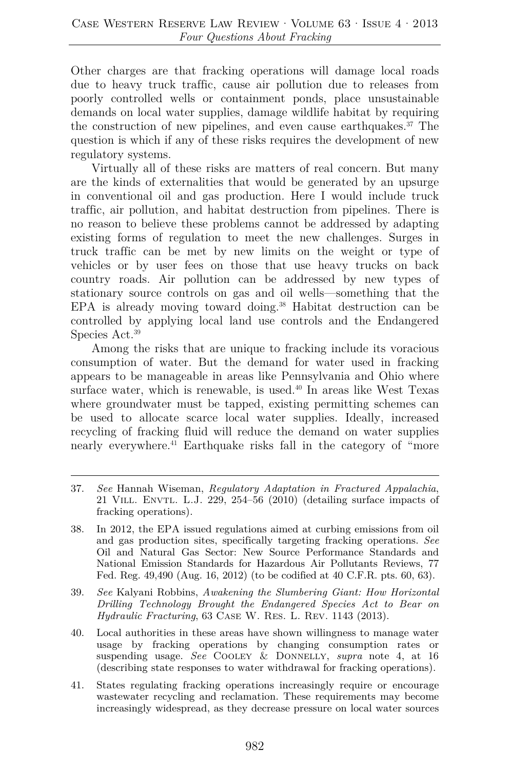Other charges are that fracking operations will damage local roads due to heavy truck traffic, cause air pollution due to releases from poorly controlled wells or containment ponds, place unsustainable demands on local water supplies, damage wildlife habitat by requiring the construction of new pipelines, and even cause earthquakes.37 The question is which if any of these risks requires the development of new regulatory systems.

Virtually all of these risks are matters of real concern. But many are the kinds of externalities that would be generated by an upsurge in conventional oil and gas production. Here I would include truck traffic, air pollution, and habitat destruction from pipelines. There is no reason to believe these problems cannot be addressed by adapting existing forms of regulation to meet the new challenges. Surges in truck traffic can be met by new limits on the weight or type of vehicles or by user fees on those that use heavy trucks on back country roads. Air pollution can be addressed by new types of stationary source controls on gas and oil wells—something that the EPA is already moving toward doing.<sup>38</sup> Habitat destruction can be controlled by applying local land use controls and the Endangered Species Act.<sup>39</sup>

Among the risks that are unique to fracking include its voracious consumption of water. But the demand for water used in fracking appears to be manageable in areas like Pennsylvania and Ohio where surface water, which is renewable, is used.<sup>40</sup> In areas like West Texas where groundwater must be tapped, existing permitting schemes can be used to allocate scarce local water supplies. Ideally, increased recycling of fracking fluid will reduce the demand on water supplies nearly everywhere.<sup>41</sup> Earthquake risks fall in the category of "more"

- 38. In 2012, the EPA issued regulations aimed at curbing emissions from oil and gas production sites, specifically targeting fracking operations. *See* Oil and Natural Gas Sector: New Source Performance Standards and National Emission Standards for Hazardous Air Pollutants Reviews, 77 Fed. Reg. 49,490 (Aug. 16, 2012) (to be codified at 40 C.F.R. pts. 60, 63).
- 39. *See* Kalyani Robbins, *Awakening the Slumbering Giant: How Horizontal Drilling Technology Brought the Endangered Species Act to Bear on Hydraulic Fracturing*, 63 Case W. Res. L. Rev. 1143 (2013).
- 40. Local authorities in these areas have shown willingness to manage water usage by fracking operations by changing consumption rates or suspending usage. *See* Cooley & Donnelly, *supra* note 4, at 16 (describing state responses to water withdrawal for fracking operations).
- 41. States regulating fracking operations increasingly require or encourage wastewater recycling and reclamation. These requirements may become increasingly widespread, as they decrease pressure on local water sources

<sup>37.</sup> *See* Hannah Wiseman, *Regulatory Adaptation in Fractured Appalachia*, 21 Vill. Envtl. L.J. 229, 254–56 (2010) (detailing surface impacts of fracking operations).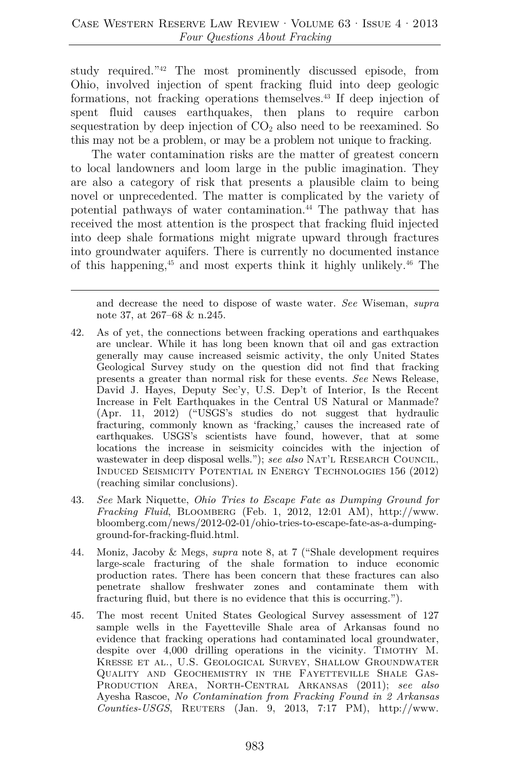study required."42 The most prominently discussed episode, from Ohio, involved injection of spent fracking fluid into deep geologic formations, not fracking operations themselves.43 If deep injection of spent fluid causes earthquakes, then plans to require carbon sequestration by deep injection of  $CO<sub>2</sub>$  also need to be reexamined. So this may not be a problem, or may be a problem not unique to fracking.

The water contamination risks are the matter of greatest concern to local landowners and loom large in the public imagination. They are also a category of risk that presents a plausible claim to being novel or unprecedented. The matter is complicated by the variety of potential pathways of water contamination.44 The pathway that has received the most attention is the prospect that fracking fluid injected into deep shale formations might migrate upward through fractures into groundwater aquifers. There is currently no documented instance of this happening,45 and most experts think it highly unlikely.46 The

and decrease the need to dispose of waste water. *See* Wiseman, *supra* note 37, at 267–68 & n.245.

- 42. As of yet, the connections between fracking operations and earthquakes are unclear. While it has long been known that oil and gas extraction generally may cause increased seismic activity, the only United States Geological Survey study on the question did not find that fracking presents a greater than normal risk for these events. *See* News Release, David J. Hayes, Deputy Sec'y, U.S. Dep't of Interior, Is the Recent Increase in Felt Earthquakes in the Central US Natural or Manmade? (Apr. 11, 2012) ("USGS's studies do not suggest that hydraulic fracturing, commonly known as 'fracking,' causes the increased rate of earthquakes. USGS's scientists have found, however, that at some locations the increase in seismicity coincides with the injection of wastewater in deep disposal wells."); *see also* NAT'L RESEARCH COUNCIL, Induced Seismicity Potential in Energy Technologies 156 (2012) (reaching similar conclusions).
- 43. *See* Mark Niquette, *Ohio Tries to Escape Fate as Dumping Ground for Fracking Fluid*, Bloomberg (Feb. 1, 2012, 12:01 AM), http://www. bloomberg.com/news/2012-02-01/ohio-tries-to-escape-fate-as-a-dumpingground-for-fracking-fluid.html.
- 44. Moniz, Jacoby & Megs, *supra* note 8, at 7 ("Shale development requires large-scale fracturing of the shale formation to induce economic production rates. There has been concern that these fractures can also penetrate shallow freshwater zones and contaminate them with fracturing fluid, but there is no evidence that this is occurring.").
- 45. The most recent United States Geological Survey assessment of 127 sample wells in the Fayetteville Shale area of Arkansas found no evidence that fracking operations had contaminated local groundwater, despite over 4,000 drilling operations in the vicinity. TIMOTHY M. Kresse et al., U.S. Geological Survey, Shallow Groundwater Quality and Geochemistry in the Fayetteville Shale Gas-Production Area, North-Central Arkansas (2011); *see also* Ayesha Rascoe, *No Contamination from Fracking Found in 2 Arkansas Counties-USGS*, Reuters (Jan. 9, 2013, 7:17 PM), http://www.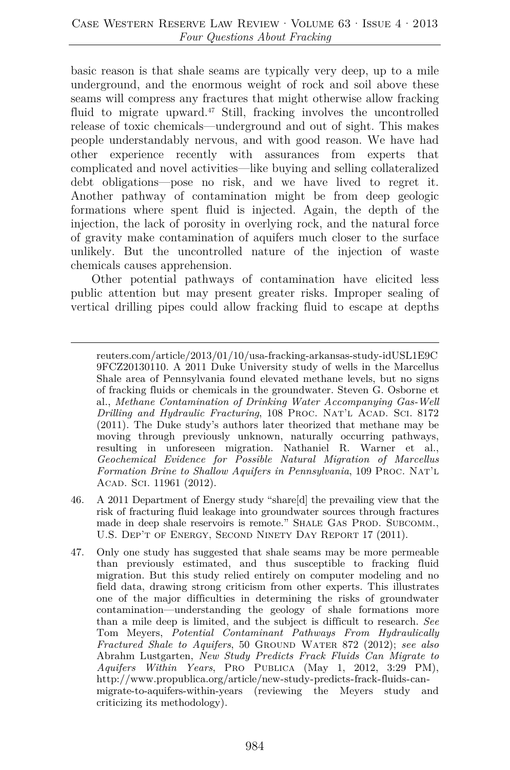basic reason is that shale seams are typically very deep, up to a mile underground, and the enormous weight of rock and soil above these seams will compress any fractures that might otherwise allow fracking fluid to migrate upward. $47$  Still, fracking involves the uncontrolled release of toxic chemicals—underground and out of sight. This makes people understandably nervous, and with good reason. We have had other experience recently with assurances from experts that complicated and novel activities—like buying and selling collateralized debt obligations—pose no risk, and we have lived to regret it. Another pathway of contamination might be from deep geologic formations where spent fluid is injected. Again, the depth of the injection, the lack of porosity in overlying rock, and the natural force of gravity make contamination of aquifers much closer to the surface unlikely. But the uncontrolled nature of the injection of waste chemicals causes apprehension.

Other potential pathways of contamination have elicited less public attention but may present greater risks. Improper sealing of vertical drilling pipes could allow fracking fluid to escape at depths

- 46. A 2011 Department of Energy study "share[d] the prevailing view that the risk of fracturing fluid leakage into groundwater sources through fractures made in deep shale reservoirs is remote." SHALE GAS PROD. SUBCOMM., U.S. Dep't of Energy, Second Ninety Day Report 17 (2011).
- 47. Only one study has suggested that shale seams may be more permeable than previously estimated, and thus susceptible to fracking fluid migration. But this study relied entirely on computer modeling and no field data, drawing strong criticism from other experts. This illustrates one of the major difficulties in determining the risks of groundwater contamination—understanding the geology of shale formations more than a mile deep is limited, and the subject is difficult to research. *See* Tom Meyers, *Potential Contaminant Pathways From Hydraulically Fractured Shale to Aquifers*, 50 Ground Water 872 (2012); *see also* Abrahm Lustgarten, *New Study Predicts Frack Fluids Can Migrate to Aquifers Within Years*, Pro Publica (May 1, 2012, 3:29 PM), http://www.propublica.org/article/new-study-predicts-frack-fluids-canmigrate-to-aquifers-within-years (reviewing the Meyers study and criticizing its methodology).

reuters.com/article/2013/01/10/usa-fracking-arkansas-study-idUSL1E9C 9FCZ20130110. A 2011 Duke University study of wells in the Marcellus Shale area of Pennsylvania found elevated methane levels, but no signs of fracking fluids or chemicals in the groundwater. Steven G. Osborne et al., *Methane Contamination of Drinking Water Accompanying Gas-Well Drilling and Hydraulic Fracturing*, 108 PROC. NAT'L ACAD. SCI. 8172 (2011). The Duke study's authors later theorized that methane may be moving through previously unknown, naturally occurring pathways, resulting in unforeseen migration. Nathaniel R. Warner et al., *Geochemical Evidence for Possible Natural Migration of Marcellus Formation Brine to Shallow Aquifers in Pennsylvania*, 109 Proc. Nat'l ACAD. SCI. 11961 (2012).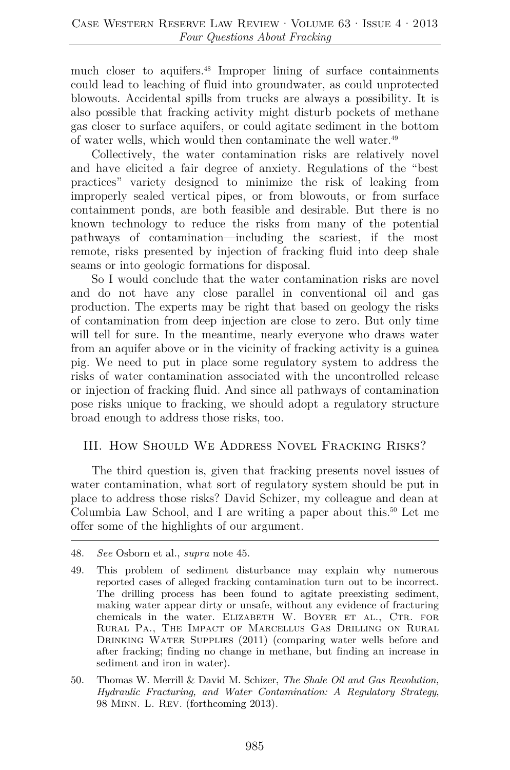much closer to aquifers.<sup>48</sup> Improper lining of surface containments could lead to leaching of fluid into groundwater, as could unprotected blowouts. Accidental spills from trucks are always a possibility. It is also possible that fracking activity might disturb pockets of methane gas closer to surface aquifers, or could agitate sediment in the bottom of water wells, which would then contaminate the well water.<sup>49</sup>

Collectively, the water contamination risks are relatively novel and have elicited a fair degree of anxiety. Regulations of the "best practices" variety designed to minimize the risk of leaking from improperly sealed vertical pipes, or from blowouts, or from surface containment ponds, are both feasible and desirable. But there is no known technology to reduce the risks from many of the potential pathways of contamination—including the scariest, if the most remote, risks presented by injection of fracking fluid into deep shale seams or into geologic formations for disposal.

So I would conclude that the water contamination risks are novel and do not have any close parallel in conventional oil and gas production. The experts may be right that based on geology the risks of contamination from deep injection are close to zero. But only time will tell for sure. In the meantime, nearly everyone who draws water from an aquifer above or in the vicinity of fracking activity is a guinea pig. We need to put in place some regulatory system to address the risks of water contamination associated with the uncontrolled release or injection of fracking fluid. And since all pathways of contamination pose risks unique to fracking, we should adopt a regulatory structure broad enough to address those risks, too.

## III. How Should We Address Novel Fracking Risks?

The third question is, given that fracking presents novel issues of water contamination, what sort of regulatory system should be put in place to address those risks? David Schizer, my colleague and dean at Columbia Law School, and I are writing a paper about this.<sup>50</sup> Let me offer some of the highlights of our argument.

<sup>48.</sup> *See* Osborn et al., *supra* note 45.

<sup>49.</sup> This problem of sediment disturbance may explain why numerous reported cases of alleged fracking contamination turn out to be incorrect. The drilling process has been found to agitate preexisting sediment, making water appear dirty or unsafe, without any evidence of fracturing chemicals in the water. ELIZABETH W. BOYER ET AL., CTR. FOR Rural Pa., The Impact of Marcellus Gas Drilling on Rural DRINKING WATER SUPPLIES (2011) (comparing water wells before and after fracking; finding no change in methane, but finding an increase in sediment and iron in water).

<sup>50.</sup> Thomas W. Merrill & David M. Schizer, *The Shale Oil and Gas Revolution, Hydraulic Fracturing, and Water Contamination: A Regulatory Strategy*, 98 Minn. L. Rev. (forthcoming 2013).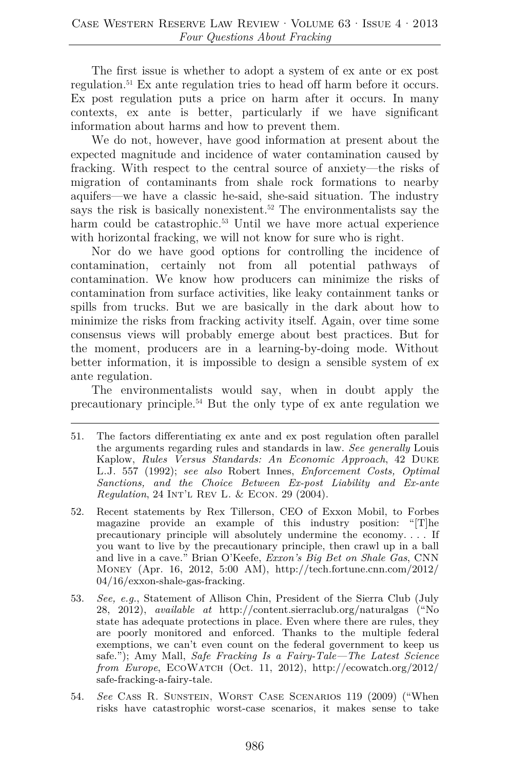The first issue is whether to adopt a system of ex ante or ex post regulation.51 Ex ante regulation tries to head off harm before it occurs. Ex post regulation puts a price on harm after it occurs. In many contexts, ex ante is better, particularly if we have significant information about harms and how to prevent them.

We do not, however, have good information at present about the expected magnitude and incidence of water contamination caused by fracking. With respect to the central source of anxiety—the risks of migration of contaminants from shale rock formations to nearby aquifers—we have a classic he-said, she-said situation. The industry says the risk is basically nonexistent.<sup>52</sup> The environmentalists say the harm could be catastrophic.<sup>53</sup> Until we have more actual experience with horizontal fracking, we will not know for sure who is right.

Nor do we have good options for controlling the incidence of contamination, certainly not from all potential pathways of contamination. We know how producers can minimize the risks of contamination from surface activities, like leaky containment tanks or spills from trucks. But we are basically in the dark about how to minimize the risks from fracking activity itself. Again, over time some consensus views will probably emerge about best practices. But for the moment, producers are in a learning-by-doing mode. Without better information, it is impossible to design a sensible system of ex ante regulation.

The environmentalists would say, when in doubt apply the precautionary principle.54 But the only type of ex ante regulation we

<sup>51.</sup> The factors differentiating ex ante and ex post regulation often parallel the arguments regarding rules and standards in law. *See generally* Louis Kaplow, *Rules Versus Standards: An Economic Approach*, 42 Duke L.J. 557 (1992); *see also* Robert Innes, *Enforcement Costs, Optimal Sanctions, and the Choice Between Ex-post Liability and Ex-ante Regulation*, 24 Int'l Rev L. & Econ. 29 (2004).

<sup>52.</sup> Recent statements by Rex Tillerson, CEO of Exxon Mobil, to Forbes magazine provide an example of this industry position: "[T]he precautionary principle will absolutely undermine the economy. . . . If you want to live by the precautionary principle, then crawl up in a ball and live in a cave." Brian O'Keefe, *Exxon's Big Bet on Shale Gas*, CNN Money (Apr. 16, 2012, 5:00 AM), http://tech.fortune.cnn.com/2012/ 04/16/exxon-shale-gas-fracking.

<sup>53.</sup> *See, e.g.*, Statement of Allison Chin, President of the Sierra Club (July 28, 2012), *available at* http://content.sierraclub.org/naturalgas ("No state has adequate protections in place. Even where there are rules, they are poorly monitored and enforced. Thanks to the multiple federal exemptions, we can't even count on the federal government to keep us safe."); Amy Mall, *Safe Fracking Is a Fairy-Tale—The Latest Science from Europe*, EcoWatch (Oct. 11, 2012), http://ecowatch.org/2012/ safe-fracking-a-fairy-tale.

<sup>54.</sup> *See* Cass R. Sunstein, Worst Case Scenarios 119 (2009) ("When risks have catastrophic worst-case scenarios, it makes sense to take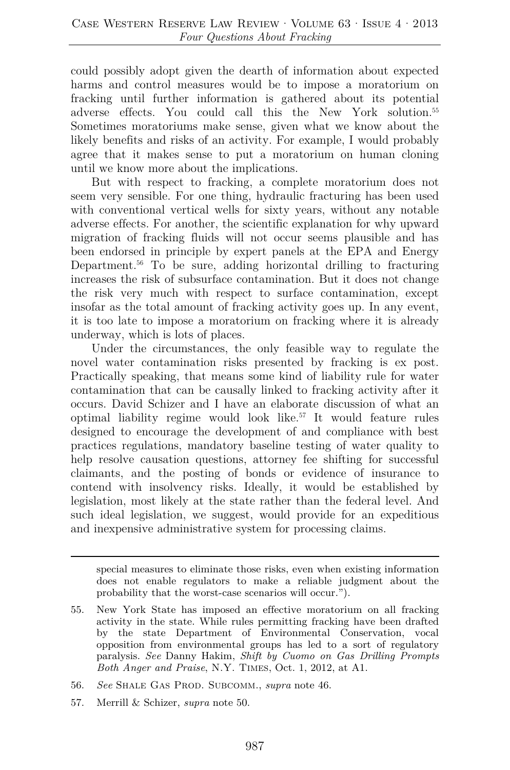could possibly adopt given the dearth of information about expected harms and control measures would be to impose a moratorium on fracking until further information is gathered about its potential adverse effects. You could call this the New York solution.55 Sometimes moratoriums make sense, given what we know about the likely benefits and risks of an activity. For example, I would probably agree that it makes sense to put a moratorium on human cloning until we know more about the implications.

But with respect to fracking, a complete moratorium does not seem very sensible. For one thing, hydraulic fracturing has been used with conventional vertical wells for sixty years, without any notable adverse effects. For another, the scientific explanation for why upward migration of fracking fluids will not occur seems plausible and has been endorsed in principle by expert panels at the EPA and Energy Department.<sup>56</sup> To be sure, adding horizontal drilling to fracturing increases the risk of subsurface contamination. But it does not change the risk very much with respect to surface contamination, except insofar as the total amount of fracking activity goes up. In any event, it is too late to impose a moratorium on fracking where it is already underway, which is lots of places.

Under the circumstances, the only feasible way to regulate the novel water contamination risks presented by fracking is ex post. Practically speaking, that means some kind of liability rule for water contamination that can be causally linked to fracking activity after it occurs. David Schizer and I have an elaborate discussion of what an optimal liability regime would look like.57 It would feature rules designed to encourage the development of and compliance with best practices regulations, mandatory baseline testing of water quality to help resolve causation questions, attorney fee shifting for successful claimants, and the posting of bonds or evidence of insurance to contend with insolvency risks. Ideally, it would be established by legislation, most likely at the state rather than the federal level. And such ideal legislation, we suggest, would provide for an expeditious and inexpensive administrative system for processing claims.

special measures to eliminate those risks, even when existing information does not enable regulators to make a reliable judgment about the probability that the worst-case scenarios will occur.").

57. Merrill & Schizer, *supra* note 50.

<sup>55.</sup> New York State has imposed an effective moratorium on all fracking activity in the state. While rules permitting fracking have been drafted by the state Department of Environmental Conservation, vocal opposition from environmental groups has led to a sort of regulatory paralysis. *See* Danny Hakim, *Shift by Cuomo on Gas Drilling Prompts Both Anger and Praise*, N.Y. Times, Oct. 1, 2012, at A1.

<sup>56.</sup> *See* Shale Gas Prod. Subcomm., *supra* note 46.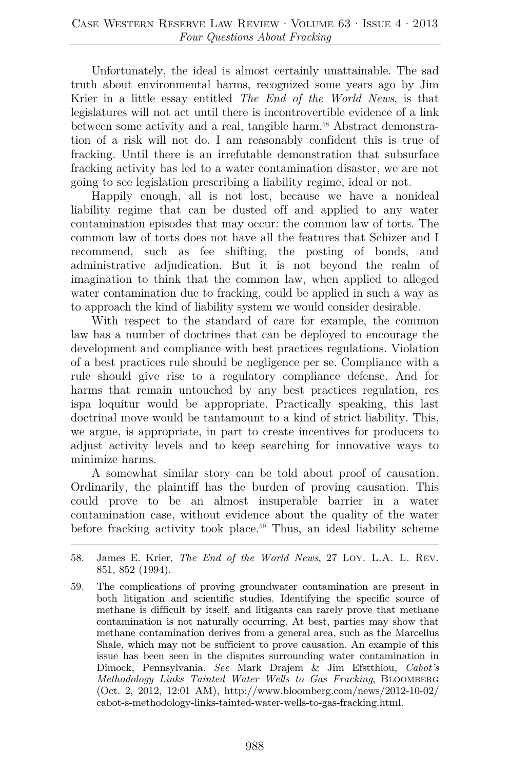Unfortunately, the ideal is almost certainly unattainable. The sad truth about environmental harms, recognized some years ago by Jim Krier in a little essay entitled *The End of the World News*, is that legislatures will not act until there is incontrovertible evidence of a link between some activity and a real, tangible harm.<sup>58</sup> Abstract demonstration of a risk will not do. I am reasonably confident this is true of fracking. Until there is an irrefutable demonstration that subsurface fracking activity has led to a water contamination disaster, we are not going to see legislation prescribing a liability regime, ideal or not.

Happily enough, all is not lost, because we have a nonideal liability regime that can be dusted off and applied to any water contamination episodes that may occur: the common law of torts. The common law of torts does not have all the features that Schizer and I recommend, such as fee shifting, the posting of bonds, and administrative adjudication. But it is not beyond the realm of imagination to think that the common law, when applied to alleged water contamination due to fracking, could be applied in such a way as to approach the kind of liability system we would consider desirable.

With respect to the standard of care for example, the common law has a number of doctrines that can be deployed to encourage the development and compliance with best practices regulations. Violation of a best practices rule should be negligence per se. Compliance with a rule should give rise to a regulatory compliance defense. And for harms that remain untouched by any best practices regulation, res ispa loquitur would be appropriate. Practically speaking, this last doctrinal move would be tantamount to a kind of strict liability. This, we argue, is appropriate, in part to create incentives for producers to adjust activity levels and to keep searching for innovative ways to minimize harms.

A somewhat similar story can be told about proof of causation. Ordinarily, the plaintiff has the burden of proving causation. This could prove to be an almost insuperable barrier in a water contamination case, without evidence about the quality of the water before fracking activity took place.59 Thus, an ideal liability scheme

<sup>58.</sup> James E. Krier, *The End of the World News*, 27 Loy. L.A. L. Rev. 851, 852 (1994).

<sup>59.</sup> The complications of proving groundwater contamination are present in both litigation and scientific studies. Identifying the specific source of methane is difficult by itself, and litigants can rarely prove that methane contamination is not naturally occurring. At best, parties may show that methane contamination derives from a general area, such as the Marcellus Shale, which may not be sufficient to prove causation. An example of this issue has been seen in the disputes surrounding water contamination in Dimock, Pennsylvania. *See* Mark Drajem & Jim Efstthiou, *Cabot's Methodology Links Tainted Water Wells to Gas Fracking*, Bloomberg (Oct. 2, 2012, 12:01 AM), http://www.bloomberg.com/news/2012-10-02/ cabot-s-methodology-links-tainted-water-wells-to-gas-fracking.html.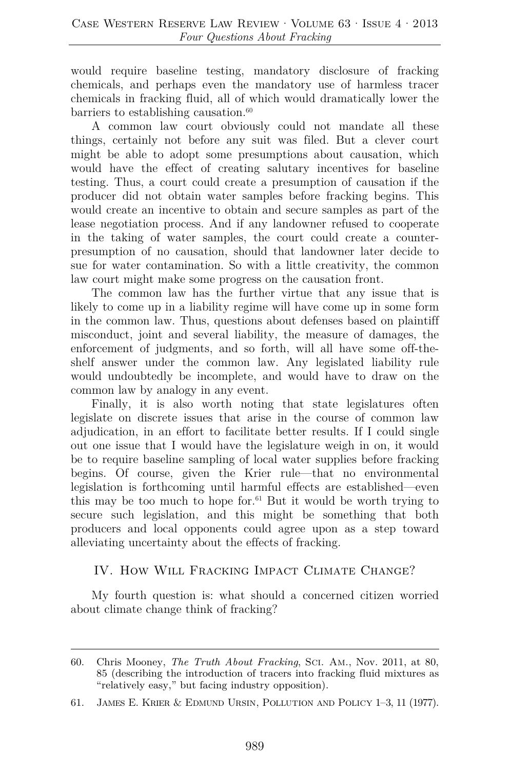would require baseline testing, mandatory disclosure of fracking chemicals, and perhaps even the mandatory use of harmless tracer chemicals in fracking fluid, all of which would dramatically lower the barriers to establishing causation. $60$ 

A common law court obviously could not mandate all these things, certainly not before any suit was filed. But a clever court might be able to adopt some presumptions about causation, which would have the effect of creating salutary incentives for baseline testing. Thus, a court could create a presumption of causation if the producer did not obtain water samples before fracking begins. This would create an incentive to obtain and secure samples as part of the lease negotiation process. And if any landowner refused to cooperate in the taking of water samples, the court could create a counterpresumption of no causation, should that landowner later decide to sue for water contamination. So with a little creativity, the common law court might make some progress on the causation front.

The common law has the further virtue that any issue that is likely to come up in a liability regime will have come up in some form in the common law. Thus, questions about defenses based on plaintiff misconduct, joint and several liability, the measure of damages, the enforcement of judgments, and so forth, will all have some off-theshelf answer under the common law. Any legislated liability rule would undoubtedly be incomplete, and would have to draw on the common law by analogy in any event.

Finally, it is also worth noting that state legislatures often legislate on discrete issues that arise in the course of common law adjudication, in an effort to facilitate better results. If I could single out one issue that I would have the legislature weigh in on, it would be to require baseline sampling of local water supplies before fracking begins. Of course, given the Krier rule—that no environmental legislation is forthcoming until harmful effects are established—even this may be too much to hope for.<sup>61</sup> But it would be worth trying to secure such legislation, and this might be something that both producers and local opponents could agree upon as a step toward alleviating uncertainty about the effects of fracking.

## IV. How Will Fracking Impact Climate Change?

My fourth question is: what should a concerned citizen worried about climate change think of fracking?

<sup>60.</sup> Chris Mooney, *The Truth About Fracking*, Sci. Am., Nov. 2011, at 80, 85 (describing the introduction of tracers into fracking fluid mixtures as "relatively easy," but facing industry opposition).

<sup>61.</sup> James E. Krier & Edmund Ursin, Pollution and Policy 1–3, 11 (1977).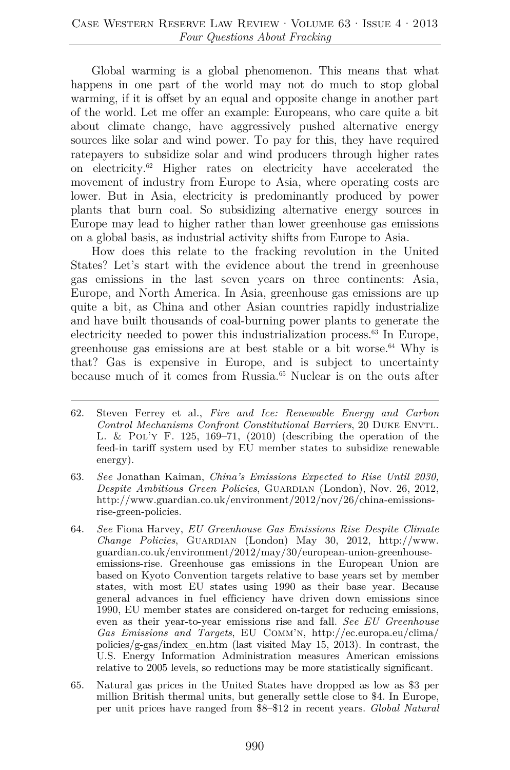Global warming is a global phenomenon. This means that what happens in one part of the world may not do much to stop global warming, if it is offset by an equal and opposite change in another part of the world. Let me offer an example: Europeans, who care quite a bit about climate change, have aggressively pushed alternative energy sources like solar and wind power. To pay for this, they have required ratepayers to subsidize solar and wind producers through higher rates on electricity.62 Higher rates on electricity have accelerated the movement of industry from Europe to Asia, where operating costs are lower. But in Asia, electricity is predominantly produced by power plants that burn coal. So subsidizing alternative energy sources in Europe may lead to higher rather than lower greenhouse gas emissions on a global basis, as industrial activity shifts from Europe to Asia.

How does this relate to the fracking revolution in the United States? Let's start with the evidence about the trend in greenhouse gas emissions in the last seven years on three continents: Asia, Europe, and North America. In Asia, greenhouse gas emissions are up quite a bit, as China and other Asian countries rapidly industrialize and have built thousands of coal-burning power plants to generate the electricity needed to power this industrialization process.63 In Europe, greenhouse gas emissions are at best stable or a bit worse. $64$  Why is that? Gas is expensive in Europe, and is subject to uncertainty because much of it comes from Russia.65 Nuclear is on the outs after

- 64. *See* Fiona Harvey, *EU Greenhouse Gas Emissions Rise Despite Climate Change Policies*, Guardian (London) May 30, 2012, http://www. guardian.co.uk/environment/2012/may/30/european-union-greenhouseemissions-rise. Greenhouse gas emissions in the European Union are based on Kyoto Convention targets relative to base years set by member states, with most EU states using 1990 as their base year. Because general advances in fuel efficiency have driven down emissions since 1990, EU member states are considered on-target for reducing emissions, even as their year-to-year emissions rise and fall. *See EU Greenhouse Gas Emissions and Targets*, EU Comm'n, http://ec.europa.eu/clima/ policies/g-gas/index\_en.htm (last visited May 15, 2013). In contrast, the U.S. Energy Information Administration measures American emissions relative to 2005 levels, so reductions may be more statistically significant.
- 65. Natural gas prices in the United States have dropped as low as \$3 per million British thermal units, but generally settle close to \$4. In Europe, per unit prices have ranged from \$8–\$12 in recent years. *Global Natural*

<sup>62.</sup> Steven Ferrey et al., *Fire and Ice: Renewable Energy and Carbon Control Mechanisms Confront Constitutional Barriers*, 20 Duke Envtl. L.  $&$  Pol'Y F. 125, 169–71, (2010) (describing the operation of the feed-in tariff system used by EU member states to subsidize renewable energy).

<sup>63.</sup> *See* Jonathan Kaiman, *China's Emissions Expected to Rise Until 2030, Despite Ambitious Green Policies*, GUARDIAN (London), Nov. 26, 2012, http://www.guardian.co.uk/environment/2012/nov/26/china-emissionsrise-green-policies.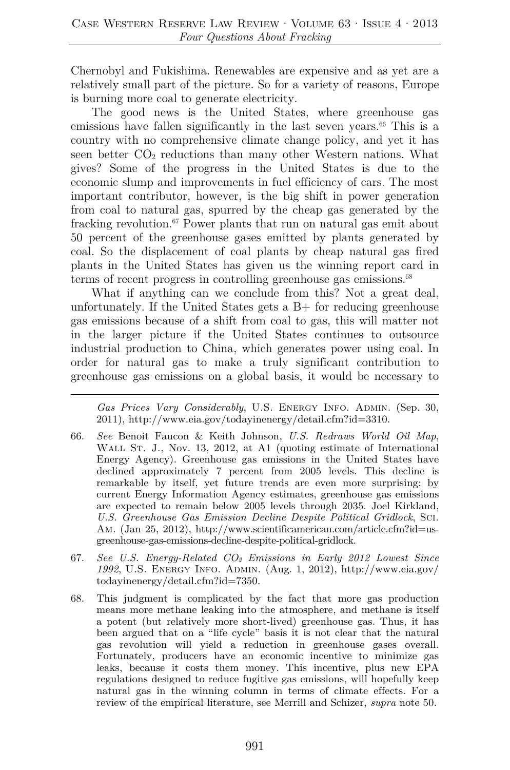Chernobyl and Fukishima. Renewables are expensive and as yet are a relatively small part of the picture. So for a variety of reasons, Europe is burning more coal to generate electricity.

The good news is the United States, where greenhouse gas emissions have fallen significantly in the last seven years. $66$  This is a country with no comprehensive climate change policy, and yet it has seen better  $CO<sub>2</sub>$  reductions than many other Western nations. What gives? Some of the progress in the United States is due to the economic slump and improvements in fuel efficiency of cars. The most important contributor, however, is the big shift in power generation from coal to natural gas, spurred by the cheap gas generated by the fracking revolution.<sup>67</sup> Power plants that run on natural gas emit about 50 percent of the greenhouse gases emitted by plants generated by coal. So the displacement of coal plants by cheap natural gas fired plants in the United States has given us the winning report card in terms of recent progress in controlling greenhouse gas emissions. $68$ 

What if anything can we conclude from this? Not a great deal, unfortunately. If the United States gets a B+ for reducing greenhouse gas emissions because of a shift from coal to gas, this will matter not in the larger picture if the United States continues to outsource industrial production to China, which generates power using coal. In order for natural gas to make a truly significant contribution to greenhouse gas emissions on a global basis, it would be necessary to

*Gas Prices Vary Considerably*, U.S. Energy Info. Admin. (Sep. 30, 2011), http://www.eia.gov/todayinenergy/detail.cfm?id=3310.

- 66. *See* Benoit Faucon & Keith Johnson, *U.S. Redraws World Oil Map*, WALL ST. J., Nov. 13, 2012, at A1 (quoting estimate of International Energy Agency). Greenhouse gas emissions in the United States have declined approximately 7 percent from 2005 levels. This decline is remarkable by itself, yet future trends are even more surprising: by current Energy Information Agency estimates, greenhouse gas emissions are expected to remain below 2005 levels through 2035. Joel Kirkland, *U.S. Greenhouse Gas Emission Decline Despite Political Gridlock*, Sci. Am. (Jan 25, 2012), http://www.scientificamerican.com/article.cfm?id=usgreenhouse-gas-emissions-decline-despite-political-gridlock.
- 67. *See U.S. Energy-Related CO2 Emissions in Early 2012 Lowest Since 1992*, U.S. Energy Info. Admin. (Aug. 1, 2012), http://www.eia.gov/ todayinenergy/detail.cfm?id=7350.
- 68. This judgment is complicated by the fact that more gas production means more methane leaking into the atmosphere, and methane is itself a potent (but relatively more short-lived) greenhouse gas. Thus, it has been argued that on a "life cycle" basis it is not clear that the natural gas revolution will yield a reduction in greenhouse gases overall. Fortunately, producers have an economic incentive to minimize gas leaks, because it costs them money. This incentive, plus new EPA regulations designed to reduce fugitive gas emissions, will hopefully keep natural gas in the winning column in terms of climate effects. For a review of the empirical literature, see Merrill and Schizer, *supra* note 50.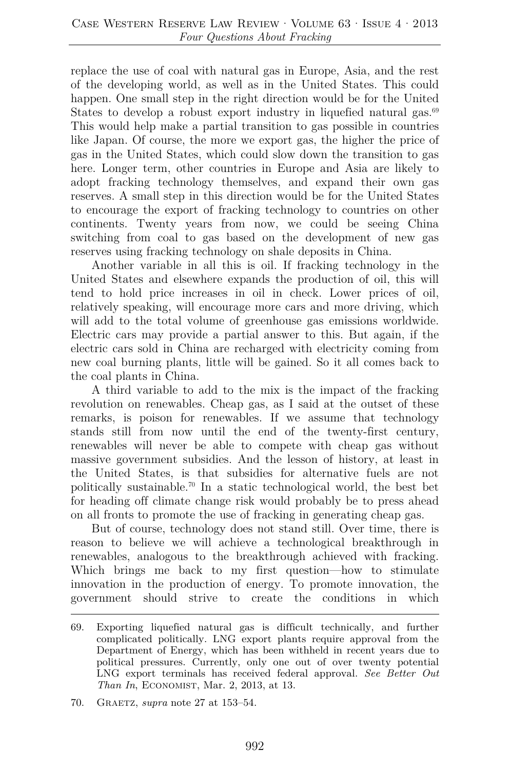replace the use of coal with natural gas in Europe, Asia, and the rest of the developing world, as well as in the United States. This could happen. One small step in the right direction would be for the United States to develop a robust export industry in liquefied natural gas. $69$ This would help make a partial transition to gas possible in countries like Japan. Of course, the more we export gas, the higher the price of gas in the United States, which could slow down the transition to gas here. Longer term, other countries in Europe and Asia are likely to adopt fracking technology themselves, and expand their own gas reserves. A small step in this direction would be for the United States to encourage the export of fracking technology to countries on other continents. Twenty years from now, we could be seeing China switching from coal to gas based on the development of new gas reserves using fracking technology on shale deposits in China.

Another variable in all this is oil. If fracking technology in the United States and elsewhere expands the production of oil, this will tend to hold price increases in oil in check. Lower prices of oil, relatively speaking, will encourage more cars and more driving, which will add to the total volume of greenhouse gas emissions worldwide. Electric cars may provide a partial answer to this. But again, if the electric cars sold in China are recharged with electricity coming from new coal burning plants, little will be gained. So it all comes back to the coal plants in China.

A third variable to add to the mix is the impact of the fracking revolution on renewables. Cheap gas, as I said at the outset of these remarks, is poison for renewables. If we assume that technology stands still from now until the end of the twenty-first century, renewables will never be able to compete with cheap gas without massive government subsidies. And the lesson of history, at least in the United States, is that subsidies for alternative fuels are not politically sustainable.70 In a static technological world, the best bet for heading off climate change risk would probably be to press ahead on all fronts to promote the use of fracking in generating cheap gas.

But of course, technology does not stand still. Over time, there is reason to believe we will achieve a technological breakthrough in renewables, analogous to the breakthrough achieved with fracking. Which brings me back to my first question—how to stimulate innovation in the production of energy. To promote innovation, the government should strive to create the conditions in which

<sup>69.</sup> Exporting liquefied natural gas is difficult technically, and further complicated politically. LNG export plants require approval from the Department of Energy, which has been withheld in recent years due to political pressures. Currently, only one out of over twenty potential LNG export terminals has received federal approval. *See Better Out Than In*, ECONOMIST, Mar. 2, 2013, at 13.

<sup>70.</sup> Graetz, *supra* note 27 at 153–54.